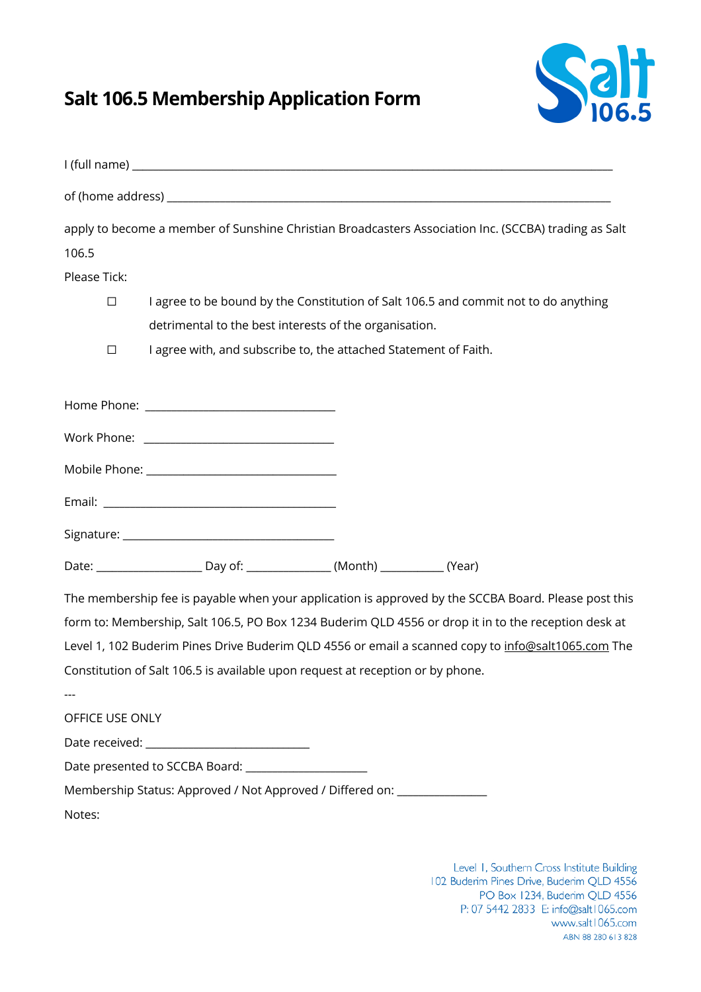## **Salt 106.5 Membership Application Form**



|                 |                                                                                |  | apply to become a member of Sunshine Christian Broadcasters Association Inc. (SCCBA) trading as Salt |
|-----------------|--------------------------------------------------------------------------------|--|------------------------------------------------------------------------------------------------------|
| 106.5           |                                                                                |  |                                                                                                      |
| Please Tick:    |                                                                                |  |                                                                                                      |
| $\Box$          |                                                                                |  | I agree to be bound by the Constitution of Salt 106.5 and commit not to do anything                  |
|                 | detrimental to the best interests of the organisation.                         |  |                                                                                                      |
| $\Box$          | I agree with, and subscribe to, the attached Statement of Faith.               |  |                                                                                                      |
|                 |                                                                                |  |                                                                                                      |
|                 |                                                                                |  |                                                                                                      |
|                 |                                                                                |  |                                                                                                      |
|                 |                                                                                |  |                                                                                                      |
|                 |                                                                                |  |                                                                                                      |
|                 |                                                                                |  |                                                                                                      |
|                 |                                                                                |  | The membership fee is payable when your application is approved by the SCCBA Board. Please post this |
|                 |                                                                                |  | form to: Membership, Salt 106.5, PO Box 1234 Buderim QLD 4556 or drop it in to the reception desk at |
|                 |                                                                                |  | Level 1, 102 Buderim Pines Drive Buderim QLD 4556 or email a scanned copy to info@salt1065.com The   |
|                 | Constitution of Salt 106.5 is available upon request at reception or by phone. |  |                                                                                                      |
|                 |                                                                                |  |                                                                                                      |
| OFFICE USE ONLY |                                                                                |  |                                                                                                      |
|                 |                                                                                |  |                                                                                                      |
|                 | Date presented to SCCBA Board: ______________________                          |  |                                                                                                      |
|                 | Membership Status: Approved / Not Approved / Differed on: _______________      |  |                                                                                                      |
| Notes:          |                                                                                |  |                                                                                                      |

Level 1, Southern Cross Institute Building 102 Buderim Pines Drive, Buderim QLD 4556 PO Box 1234, Buderim QLD 4556 P: 07 5442 2833 E: info@salt1065.com www.salt1065.com ABN 88 280 613 828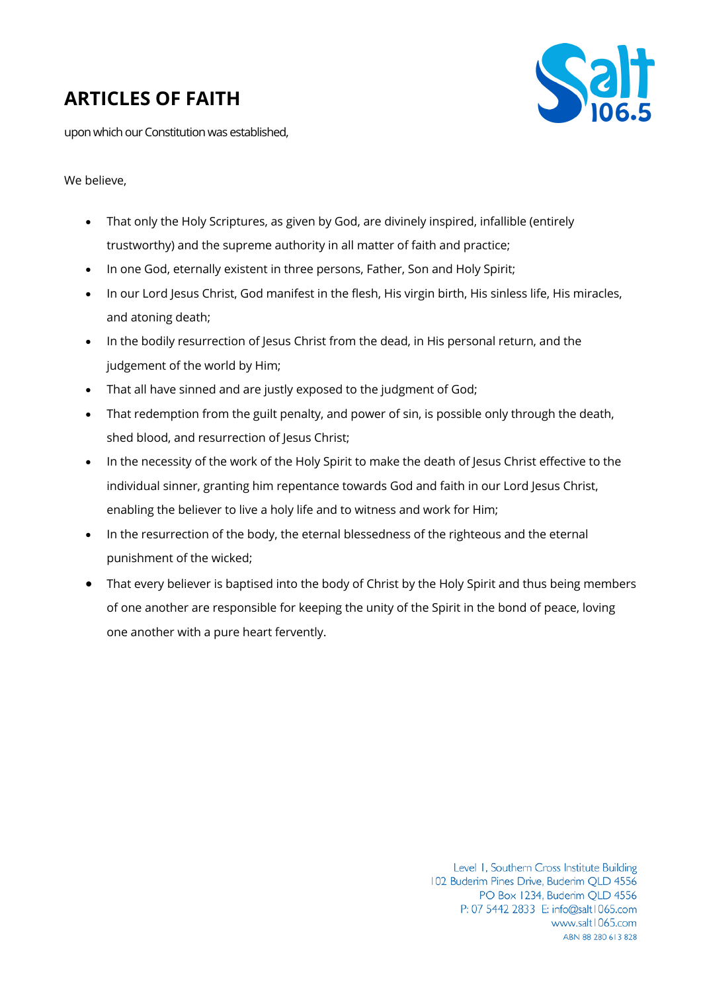## **ARTICLES OF FAITH**



upon which our Constitution was established,

## We believe.

- That only the Holy Scriptures, as given by God, are divinely inspired, infallible (entirely trustworthy) and the supreme authority in all matter of faith and practice;
- In one God, eternally existent in three persons, Father, Son and Holy Spirit;
- In our Lord Jesus Christ, God manifest in the flesh, His virgin birth, His sinless life, His miracles, and atoning death;
- In the bodily resurrection of Jesus Christ from the dead, in His personal return, and the judgement of the world by Him;
- That all have sinned and are justly exposed to the judgment of God;
- That redemption from the guilt penalty, and power of sin, is possible only through the death, shed blood, and resurrection of Jesus Christ;
- In the necessity of the work of the Holy Spirit to make the death of Jesus Christ effective to the individual sinner, granting him repentance towards God and faith in our Lord Jesus Christ, enabling the believer to live a holy life and to witness and work for Him;
- In the resurrection of the body, the eternal blessedness of the righteous and the eternal punishment of the wicked;
- That every believer is baptised into the body of Christ by the Holy Spirit and thus being members of one another are responsible for keeping the unity of the Spirit in the bond of peace, loving one another with a pure heart fervently.

Level 1, Southern Cross Institute Building 102 Buderim Pines Drive, Buderim QLD 4556 PO Box 1234, Buderim QLD 4556 P: 07 5442 2833 E: info@salt1065.com www.salt1065.com ABN 88 280 613 828